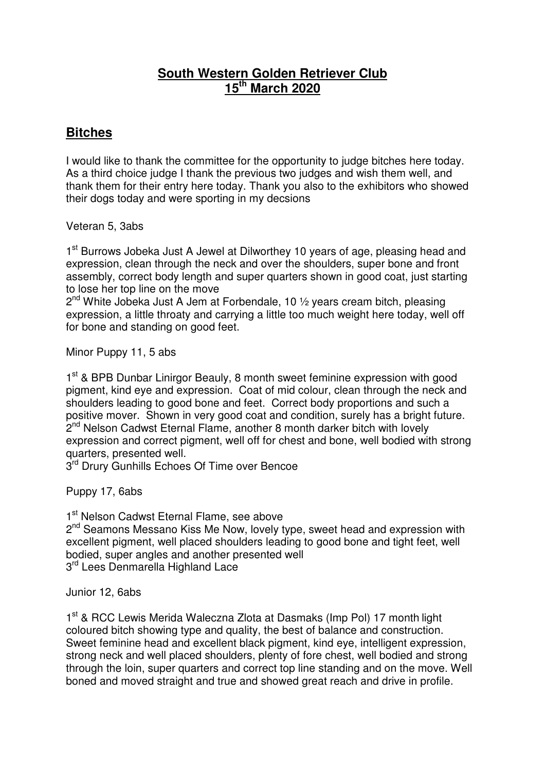## **South Western Golden Retriever Club 15th March 2020**

## **Bitches**

I would like to thank the committee for the opportunity to judge bitches here today. As a third choice judge I thank the previous two judges and wish them well, and thank them for their entry here today. Thank you also to the exhibitors who showed their dogs today and were sporting in my decsions

Veteran 5, 3abs

1<sup>st</sup> Burrows Jobeka Just A Jewel at Dilworthey 10 years of age, pleasing head and expression, clean through the neck and over the shoulders, super bone and front assembly, correct body length and super quarters shown in good coat, just starting to lose her top line on the move

2<sup>nd</sup> White Jobeka Just A Jem at Forbendale, 10 1/2 years cream bitch, pleasing expression, a little throaty and carrying a little too much weight here today, well off for bone and standing on good feet.

Minor Puppy 11, 5 abs

1<sup>st</sup> & BPB Dunbar Linirgor Beauly, 8 month sweet feminine expression with good pigment, kind eye and expression. Coat of mid colour, clean through the neck and shoulders leading to good bone and feet. Correct body proportions and such a positive mover. Shown in very good coat and condition, surely has a bright future. 2<sup>nd</sup> Nelson Cadwst Eternal Flame, another 8 month darker bitch with lovely expression and correct pigment, well off for chest and bone, well bodied with strong quarters, presented well.

3<sup>rd</sup> Drury Gunhills Echoes Of Time over Bencoe

Puppy 17, 6abs

1<sup>st</sup> Nelson Cadwst Eternal Flame, see above 2<sup>nd</sup> Seamons Messano Kiss Me Now, lovely type, sweet head and expression with excellent pigment, well placed shoulders leading to good bone and tight feet, well bodied, super angles and another presented well 3<sup>rd</sup> Lees Denmarella Highland Lace

Junior 12, 6abs

1<sup>st</sup> & RCC Lewis Merida Waleczna Zlota at Dasmaks (Imp Pol) 17 month light coloured bitch showing type and quality, the best of balance and construction. Sweet feminine head and excellent black pigment, kind eye, intelligent expression, strong neck and well placed shoulders, plenty of fore chest, well bodied and strong through the loin, super quarters and correct top line standing and on the move. Well boned and moved straight and true and showed great reach and drive in profile.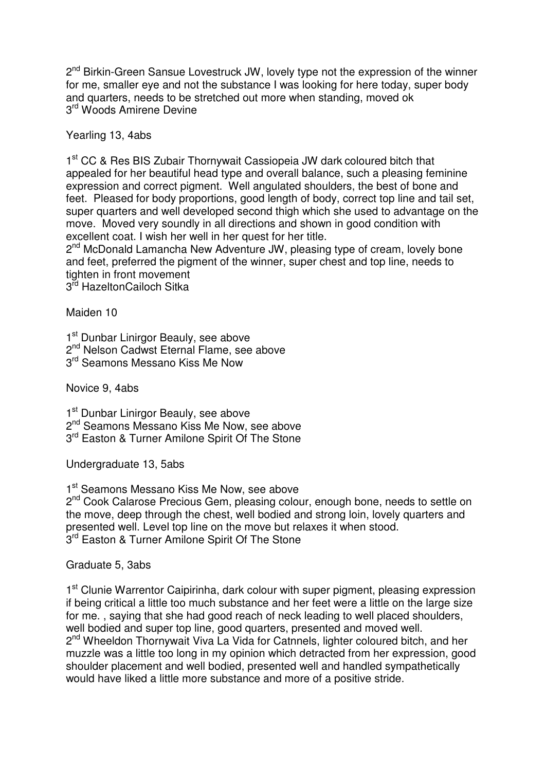2<sup>nd</sup> Birkin-Green Sansue Lovestruck JW, lovely type not the expression of the winner for me, smaller eye and not the substance I was looking for here today, super body and quarters, needs to be stretched out more when standing, moved ok 3<sup>rd</sup> Woods Amirene Devine

Yearling 13, 4abs

1<sup>st</sup> CC & Res BIS Zubair Thornywait Cassiopeia JW dark coloured bitch that appealed for her beautiful head type and overall balance, such a pleasing feminine expression and correct pigment. Well angulated shoulders, the best of bone and feet. Pleased for body proportions, good length of body, correct top line and tail set, super quarters and well developed second thigh which she used to advantage on the move. Moved very soundly in all directions and shown in good condition with excellent coat. I wish her well in her quest for her title.

2<sup>nd</sup> McDonald Lamancha New Adventure JW, pleasing type of cream, lovely bone and feet, preferred the pigment of the winner, super chest and top line, needs to tighten in front movement

3<sup>rd</sup> HazeltonCailoch Sitka

Maiden 10

1<sup>st</sup> Dunbar Linirgor Beauly, see above 2<sup>nd</sup> Nelson Cadwst Eternal Flame, see above 3<sup>rd</sup> Seamons Messano Kiss Me Now

Novice 9, 4abs

1<sup>st</sup> Dunbar Linirgor Beauly, see above 2<sup>nd</sup> Seamons Messano Kiss Me Now, see above 3<sup>rd</sup> Easton & Turner Amilone Spirit Of The Stone

Undergraduate 13, 5abs

1<sup>st</sup> Seamons Messano Kiss Me Now, see above

2<sup>nd</sup> Cook Calarose Precious Gem, pleasing colour, enough bone, needs to settle on the move, deep through the chest, well bodied and strong loin, lovely quarters and presented well. Level top line on the move but relaxes it when stood. 3<sup>rd</sup> Easton & Turner Amilone Spirit Of The Stone

Graduate 5, 3abs

1<sup>st</sup> Clunie Warrentor Caipirinha, dark colour with super pigment, pleasing expression if being critical a little too much substance and her feet were a little on the large size for me. , saying that she had good reach of neck leading to well placed shoulders, well bodied and super top line, good quarters, presented and moved well. 2<sup>nd</sup> Wheeldon Thornywait Viva La Vida for Catnnels, lighter coloured bitch, and her muzzle was a little too long in my opinion which detracted from her expression, good shoulder placement and well bodied, presented well and handled sympathetically would have liked a little more substance and more of a positive stride.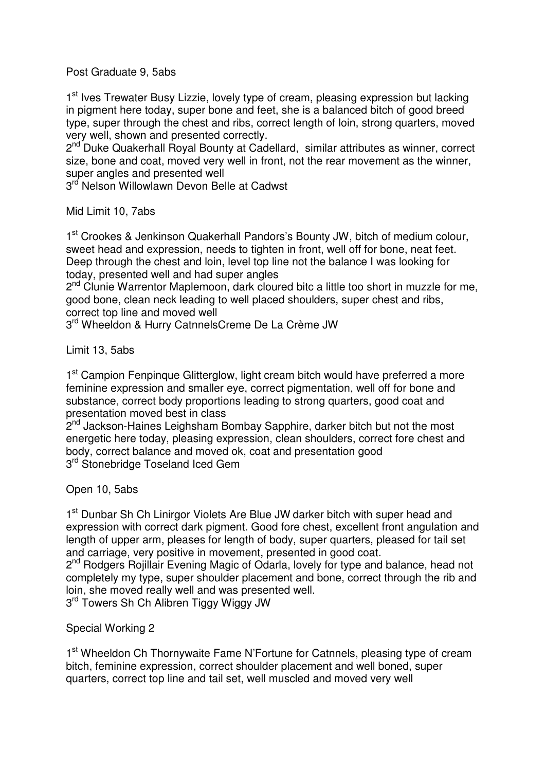Post Graduate 9, 5abs

1<sup>st</sup> Ives Trewater Busy Lizzie, lovely type of cream, pleasing expression but lacking in pigment here today, super bone and feet, she is a balanced bitch of good breed type, super through the chest and ribs, correct length of loin, strong quarters, moved very well, shown and presented correctly.

2<sup>nd</sup> Duke Quakerhall Royal Bounty at Cadellard, similar attributes as winner, correct size, bone and coat, moved very well in front, not the rear movement as the winner, super angles and presented well

3<sup>rd</sup> Nelson Willowlawn Devon Belle at Cadwst

Mid Limit 10, 7abs

1<sup>st</sup> Crookes & Jenkinson Quakerhall Pandors's Bounty JW, bitch of medium colour, sweet head and expression, needs to tighten in front, well off for bone, neat feet. Deep through the chest and loin, level top line not the balance I was looking for today, presented well and had super angles

2<sup>nd</sup> Clunie Warrentor Maplemoon, dark cloured bitc a little too short in muzzle for me, good bone, clean neck leading to well placed shoulders, super chest and ribs, correct top line and moved well

3<sup>rd</sup> Wheeldon & Hurry CatnnelsCreme De La Crème JW

Limit 13, 5abs

1<sup>st</sup> Campion Fenpinque Glitterglow, light cream bitch would have preferred a more feminine expression and smaller eye, correct pigmentation, well off for bone and substance, correct body proportions leading to strong quarters, good coat and presentation moved best in class

.<br><sup>2nd</sup> Jackson-Haines Leighsham Bombay Sapphire, darker bitch but not the most energetic here today, pleasing expression, clean shoulders, correct fore chest and body, correct balance and moved ok, coat and presentation good 3<sup>rd</sup> Stonebridge Toseland Iced Gem

Open 10, 5abs

1<sup>st</sup> Dunbar Sh Ch Linirgor Violets Are Blue JW darker bitch with super head and expression with correct dark pigment. Good fore chest, excellent front angulation and length of upper arm, pleases for length of body, super quarters, pleased for tail set and carriage, very positive in movement, presented in good coat.

2<sup>nd</sup> Rodgers Rojillair Evening Magic of Odarla, lovely for type and balance, head not completely my type, super shoulder placement and bone, correct through the rib and loin, she moved really well and was presented well.

3<sup>rd</sup> Towers Sh Ch Alibren Tiggy Wiggy JW

Special Working 2

1<sup>st</sup> Wheeldon Ch Thornywaite Fame N'Fortune for Catnnels, pleasing type of cream bitch, feminine expression, correct shoulder placement and well boned, super quarters, correct top line and tail set, well muscled and moved very well